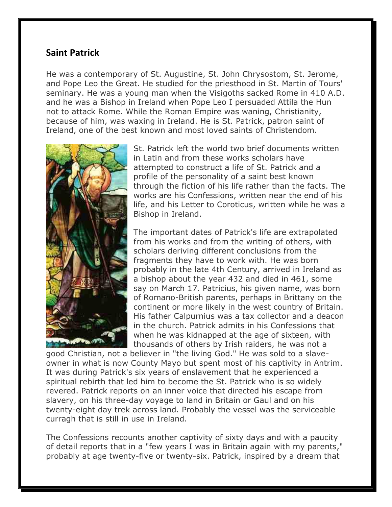## **Saint Patrick**

He was a contemporary of St. Augustine, St. John Chrysostom, St. Jerome, and Pope Leo the Great. He studied for the priesthood in St. Martin of Tours' seminary. He was a young man when the Visigoths sacked Rome in 410 A.D. and he was a Bishop in Ireland when Pope Leo I persuaded Attila the Hun not to attack Rome. While the Roman Empire was waning, Christianity, because of him, was waxing in Ireland. He is St. Patrick, patron saint of Ireland, one of the best known and most loved saints of Christendom.



St. Patrick left the world two brief documents written in Latin and from these works scholars have attempted to construct a life of St. Patrick and a profile of the personality of a saint best known through the fiction of his life rather than the facts. The works are his Confessions, written near the end of his life, and his Letter to Coroticus, written while he was a Bishop in Ireland.

The important dates of Patrick's life are extrapolated from his works and from the writing of others, with scholars deriving different conclusions from the fragments they have to work with. He was born probably in the late 4th Century, arrived in Ireland as a bishop about the year 432 and died in 461, some say on March 17. Patricius, his given name, was born of Romano-British parents, perhaps in Brittany on the continent or more likely in the west country of Britain. His father Calpurnius was a tax collector and a deacon in the church. Patrick admits in his Confessions that when he was kidnapped at the age of sixteen, with thousands of others by Irish raiders, he was not a

good Christian, not a believer in "the living God." He was sold to a slaveowner in what is now County Mayo but spent most of his captivity in Antrim. It was during Patrick's six years of enslavement that he experienced a spiritual rebirth that led him to become the St. Patrick who is so widely revered. Patrick reports on an inner voice that directed his escape from slavery, on his three-day voyage to land in Britain or Gaul and on his twenty-eight day trek across land. Probably the vessel was the serviceable curragh that is still in use in Ireland.

The Confessions recounts another captivity of sixty days and with a paucity of detail reports that in a "few years I was in Britain again with my parents," probably at age twenty-five or twenty-six. Patrick, inspired by a dream that